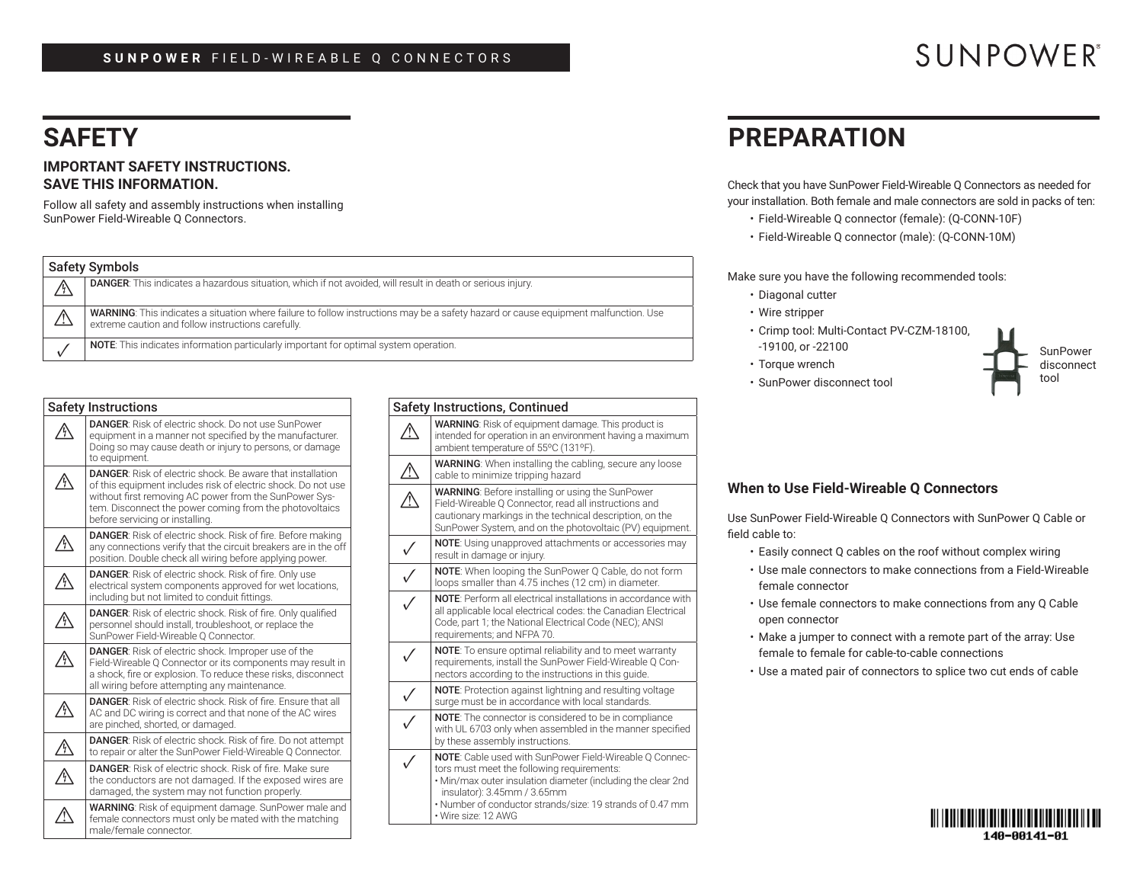### **SUNPOWER** FIELD-WIREABLE Q CONNECTORS

## **SAFETY**

#### **IMPORTANT SAFETY INSTRUCTIONS. SAVE THIS INFORMATION.**

Follow all safety and assembly instructions when installing SunPower Field-Wireable Q Connectors.

| <b>Safety Symbols</b> |                                                                                                                                                                                           |  |
|-----------------------|-------------------------------------------------------------------------------------------------------------------------------------------------------------------------------------------|--|
|                       | DANGER: This indicates a hazardous situation, which if not avoided, will result in death or serious injury.                                                                               |  |
|                       | WARNING: This indicates a situation where failure to follow instructions may be a safety hazard or cause equipment malfunction. Use<br>extreme caution and follow instructions carefully. |  |
|                       | <b>NOTE:</b> This indicates information particularly important for optimal system operation.                                                                                              |  |

| <b>Safety Instructions</b> |                                                                                                                                                                                                                                                                                            |  |
|----------------------------|--------------------------------------------------------------------------------------------------------------------------------------------------------------------------------------------------------------------------------------------------------------------------------------------|--|
| Ą,                         | <b>DANGER:</b> Risk of electric shock. Do not use SunPower<br>equipment in a manner not specified by the manufacturer.<br>Doing so may cause death or injury to persons, or damage<br>to equipment.                                                                                        |  |
|                            | <b>DANGER:</b> Risk of electric shock. Be aware that installation<br>of this equipment includes risk of electric shock. Do not use<br>without first removing AC power from the SunPower Sys-<br>tem. Disconnect the power coming from the photovoltaics<br>before servicing or installing. |  |
|                            | <b>DANGER:</b> Risk of electric shock. Risk of fire. Before making<br>any connections verify that the circuit breakers are in the off<br>position. Double check all wiring before applying power.                                                                                          |  |
| Ą                          | <b>DANGER:</b> Risk of electric shock. Risk of fire. Only use<br>electrical system components approved for wet locations,<br>including but not limited to conduit fittings.                                                                                                                |  |
| /ŷ                         | <b>DANGER:</b> Risk of electric shock. Risk of fire. Only qualified<br>personnel should install, troubleshoot, or replace the<br>SunPower Field-Wireable Q Connector.                                                                                                                      |  |
| ŷ                          | <b>DANGER:</b> Risk of electric shock. Improper use of the<br>Field-Wireable Q Connector or its components may result in<br>a shock, fire or explosion. To reduce these risks, disconnect<br>all wiring before attempting any maintenance.                                                 |  |
| ΊΫ                         | <b>DANGER:</b> Risk of electric shock. Risk of fire. Ensure that all<br>AC and DC wiring is correct and that none of the AC wires<br>are pinched, shorted, or damaged.                                                                                                                     |  |
| /Ņ                         | DANGER: Risk of electric shock. Risk of fire. Do not attempt<br>to repair or alter the SunPower Field-Wireable Q Connector.                                                                                                                                                                |  |
|                            | <b>DANGER:</b> Risk of electric shock. Risk of fire. Make sure<br>the conductors are not damaged. If the exposed wires are<br>damaged, the system may not function properly.                                                                                                               |  |
|                            | <b>WARNING:</b> Risk of equipment damage. SunPower male and<br>female connectors must only be mated with the matching<br>male/female connector.                                                                                                                                            |  |

| <b>Safety Instructions, Continued</b> |                                                                                                                                                                                                                                                                                          |  |  |
|---------------------------------------|------------------------------------------------------------------------------------------------------------------------------------------------------------------------------------------------------------------------------------------------------------------------------------------|--|--|
| Ą                                     | <b>WARNING:</b> Risk of equipment damage. This product is<br>intended for operation in an environment having a maximum<br>ambient temperature of 55°C (131°F).                                                                                                                           |  |  |
|                                       | <b>WARNING:</b> When installing the cabling, secure any loose<br>cable to minimize tripping hazard                                                                                                                                                                                       |  |  |
| V,                                    | <b>WARNING:</b> Before installing or using the SunPower<br>Field-Wireable O Connector, read all instructions and<br>cautionary markings in the technical description, on the<br>SunPower System, and on the photovoltaic (PV) equipment.                                                 |  |  |
| $\checkmark$                          | <b>NOTE:</b> Using unapproved attachments or accessories may<br>result in damage or injury.                                                                                                                                                                                              |  |  |
|                                       | <b>NOTE:</b> When looping the SunPower Q Cable, do not form<br>loops smaller than 4.75 inches (12 cm) in diameter.                                                                                                                                                                       |  |  |
|                                       | <b>NOTE:</b> Perform all electrical installations in accordance with<br>all applicable local electrical codes: the Canadian Electrical<br>Code, part 1; the National Electrical Code (NEC); ANSI<br>requirements; and NFPA 70.                                                           |  |  |
|                                       | <b>NOTE:</b> To ensure optimal reliability and to meet warranty<br>requirements, install the SunPower Field-Wireable Q Con-<br>nectors according to the instructions in this guide.                                                                                                      |  |  |
|                                       | <b>NOTE:</b> Protection against lightning and resulting voltage<br>surge must be in accordance with local standards.                                                                                                                                                                     |  |  |
|                                       | <b>NOTE:</b> The connector is considered to be in compliance<br>with UL 6703 only when assembled in the manner specified<br>by these assembly instructions.                                                                                                                              |  |  |
| ✓                                     | NOTE: Cable used with SunPower Field-Wireable O Connec-<br>tors must meet the following requirements:<br>• Min/max outer insulation diameter (including the clear 2nd<br>insulator): 3.45mm / 3.65mm<br>. Number of conductor strands/size: 19 strands of 0.47 mm<br>• Wire size: 12 AWG |  |  |

## **PREPARATION**

Check that you have SunPower Field-Wireable Q Connectors as needed for your installation. Both female and male connectors are sold in packs of ten:

- Field-Wireable Q connector (female): (Q-CONN-10F)
- Field-Wireable Q connector (male): (Q-CONN-10M)

Make sure you have the following recommended tools:

- Diagonal cutter
- Wire stripper
- Crimp tool: Multi-Contact PV-CZM-18100,
- -19100, or -22100 • Torque wrench

• SunPower disconnect tool



#### **When to Use Field-Wireable Q Connectors**

Use SunPower Field-Wireable Q Connectors with SunPower Q Cable or field cable to:

- Easily connect Q cables on the roof without complex wiring
- Use male connectors to make connections from a Field-Wireable female connector
- Use female connectors to make connections from any Q Cable open connector
- Make a jumper to connect with a remote part of the array: Use female to female for cable-to-cable connections
- Use a mated pair of connectors to splice two cut ends of cable



# **SUNPOWER®**